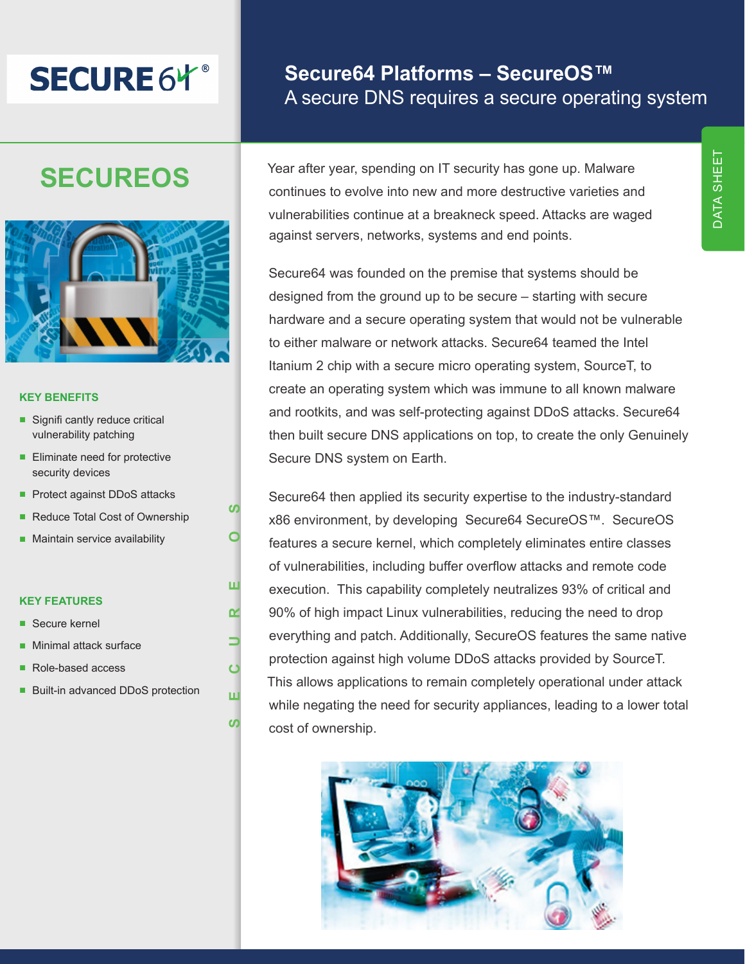# **SECURE6Y**®

# **Secure64 Platforms – SecureOS™** A secure DNS requires a secure operating system

# **SECUREOS**



#### **KEY BENEFITS**

- Signifi cantly reduce critical vulnerability patching
- Eliminate need for protective security devices
- Protect against DDoS attacks
- Reduce Total Cost of Ownership
- Maintain service availability

#### **KEY FEATURES**

- Secure kernel
- Minimal attack surface
- Role-based access
- Built-in advanced DDoS protection

**SECURE OS**

 $\mathbf C$ 

ш

<u>ທ</u>

 $\alpha$ 

ш

**SO** 

d

Year after year, spending on IT security has gone up. Malware continues to evolve into new and more destructive varieties and vulnerabilities continue at a breakneck speed. Attacks are waged against servers, networks, systems and end points.

Secure64 was founded on the premise that systems should be designed from the ground up to be secure – starting with secure hardware and a secure operating system that would not be vulnerable to either malware or network attacks. Secure64 teamed the Intel Itanium 2 chip with a secure micro operating system, SourceT, to create an operating system which was immune to all known malware and rootkits, and was self-protecting against DDoS attacks. Secure64 then built secure DNS applications on top, to create the only Genuinely Secure DNS system on Earth.

Secure64 then applied its security expertise to the industry-standard x86 environment, by developing Secure64 SecureOS™. SecureOS features a secure kernel, which completely eliminates entire classes of vulnerabilities, including buffer overflow attacks and remote code execution. This capability completely neutralizes 93% of critical and 90% of high impact Linux vulnerabilities, reducing the need to drop everything and patch. Additionally, SecureOS features the same native protection against high volume DDoS attacks provided by SourceT. This allows applications to remain completely operational under attack while negating the need for security appliances, leading to a lower total cost of ownership.